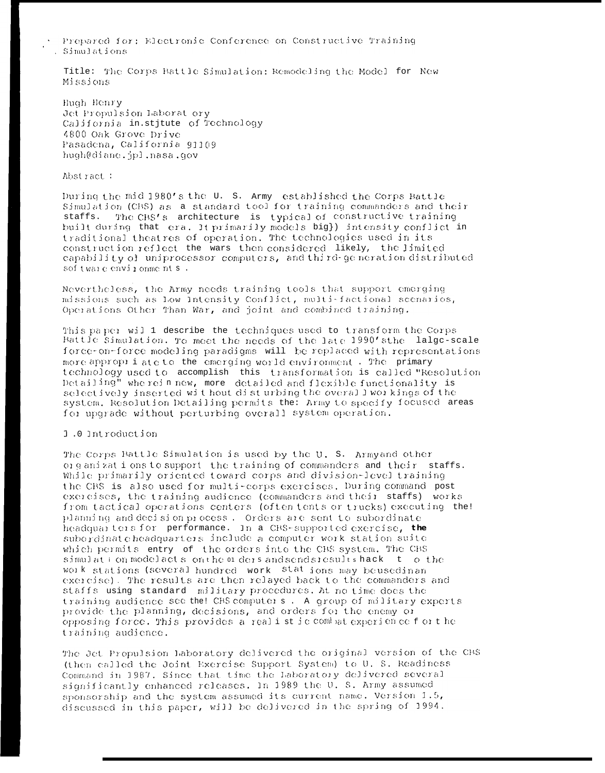Prepared for: Electronic Conference on Constructive Training . Simulations

Title: The Corps Battle Simulation: Remodeling the Model for New Missions

Hugh Henry Jet Propulsion Laborat ory California in.stjtute of Technology 4800 Oak Grove Drive Pasadena, California 91109 hugh@diane.jpl.nasa.gov

Abstract:

During the mid 1980's the U.S. Army established the Corps Battle Simulation (CBS) as a standard tool for training commanders and their staffs. The CBS's architecture is typical of constructive training built during that era. It primarily models big}) intensity conflict in traditional theatres of operation. The technologies used in its construction reflect the wars then considered likely, the limited capability of uniprocessor computers, and third-ge neration distributed sof tware environments.

Nevertheless, the Army needs training tools that support emerging missions such as Low Intensity Conflict, multi-factional scenarios, Operations Other Than War, and joint and combined training.

This paper will describe the techniques used to transform the Corps Battle Simulation. To meet the needs of the late 1990's the lalge-scale force-on-force modeling paradigms will be replaced with representations more appropriate to the emerging world environment. The primary technology used to accomplish this transformation is called "Resolution Detailing" wherein new, more detailed and flexible functionality is selectively inserted without disturbing the overall workings of the system. Resolution Detailing permits the: Army to specify focused areas for upgrade without perturbing overall system operation.

1.0 Introduction

The Corps Battle Simulation is used by the U. S. Armyand other organizations to support the training of commanders and their staffs. While primarily oriented toward corps and division-level training the CBS is also used for multi-corps exercises. During command post exercises, the training audience (commanders and their staffs) works from tactical operations centers (often tents or trucks) executing the! planning and decision process. Orders are sent to subordinate headquarters for performance. In a CBS-supported exercise, the subordinate headquarters include a computer work station suite which permits entry of the orders into the CBS system. The CBS simulation model acts on the of dersandsendsicsultshack to the work stations (several hundred work stations may beusedinan exercise). The results are then relayed back to the commanders and staffs using standard military procedures. At no time does the training audience see the! CBS computers. A group of military experts provide the planning, decisions, and orders for the enemy or opposing force. This provides a realistic combat experience for the training audience.

The Jet Propulsion Laboratory delivered the original version of the CBS (then called the Joint Exercise Support System) to U. S. Readiness Command in 1987. Since that time the Laboratory delivered several significantly enhanced releases. In 1989 the U.S. Army assumed sponsorship and the system assumed its current name. Version 1.5, discussed in this paper, will be delivered in the spring of 1994.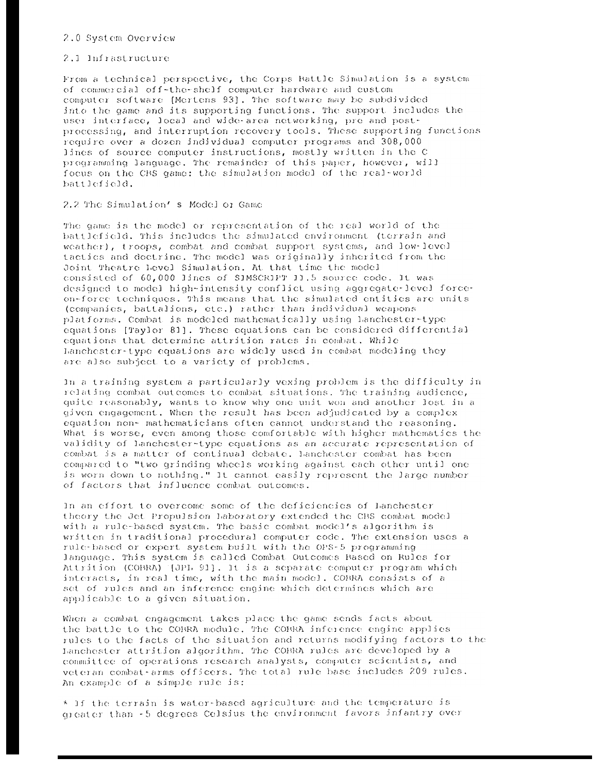# 2.0 System Overview

## 2.1 Infrastructure

From a technical perspective, the Corps Battle Simulation is a system of commercial off-the-shelf computer hardware and custom computer software [Mertens 93]. The software may be subdivided into the game and its supporting functions. The support includes the user interface, local and wide-area networking, pre and postprocessing, and interruption recovery tools. These supporting functions require over a dozen individual computer programs and 308,000 lines of source computer instructions, mostly written in the C programming language. The remainder of this paper, however, will focus on the CBS game: the simulation model of the real-world battlefield.

# 2.2 The Simulation's Model or Game

The game is the model or representation of the real world of the battlefield. This includes the simulated environment (terrain and weather), troops, combat and combat support systems, and low-level tactics and doctrine. The model was originally inherited from the Joint Theatre Level Simulation. At that time the model consisted of 60,000 lines of SIMSCRIPT 11.5 source code. It was designed to model high-intensity conflict using aggregate-level forceon-force techniques. This means that the simulated entities are units (companies, battalions, etc.) rather than individual weapons platforms. Combat is modeled mathematically using hanchester-type equations [Taylor 81]. These equations can be considered differential equations that determine attrition rates in combat. While hanchester-type equations are widely used in combat modeling they are also subject to a variety of problems.

In a training system a particularly vexing problem is the difficulty in relating combat outcomes to combat situations. The training audience, quite reasonably, wants to know why one unit won and another lost in a given engagement. When the result has been adjudicated by a complex equation non- mathematicians often cannot understand the reasoning. What is worse, even among those comfortable with higher mathematics the validity of Lanchester-type equations as an accurate representation of combat is a matter of continual debate. Lanchester combat has been compared to "two grinding wheels working against each other until one is worn down to nothing." It cannot easily represent the large number of factors that influence combat outcomes.

In an effort to overcome some of the deficiencies of Lanchester theory the Jet Propulsion laboratory extended the CBS combat model with a rule-based system. The basic combat model's algorithm is written in traditional procedural computer code. The extension uses a rule-based or expert system built with the OPS-5 programming language. This system is called Combat Outcomes Based on Rules for Attrition (COBRA) [JPL 91]. It is a separate computer program which interacts, in real time, with the main model. COBRA consists of a set of rules and an inference engine which determines which are applicable to a given situation.

When a combat engagement takes place the game sends facts about the battle to the COBRA module. The COBRA inference engine applies rules to the facts of the situation and returns modifying factors to the Lanchester attrition algorithm. The COBRA rules are developed by a committee of operations research analysts, computer scientists, and veteran combat-arms officers. The total rule base includes 209 rules. An example of a simple rule is:

\* If the terrain is water-based agriculture and the temperature is greater than -5 degrees Celsius the environment favors infantry over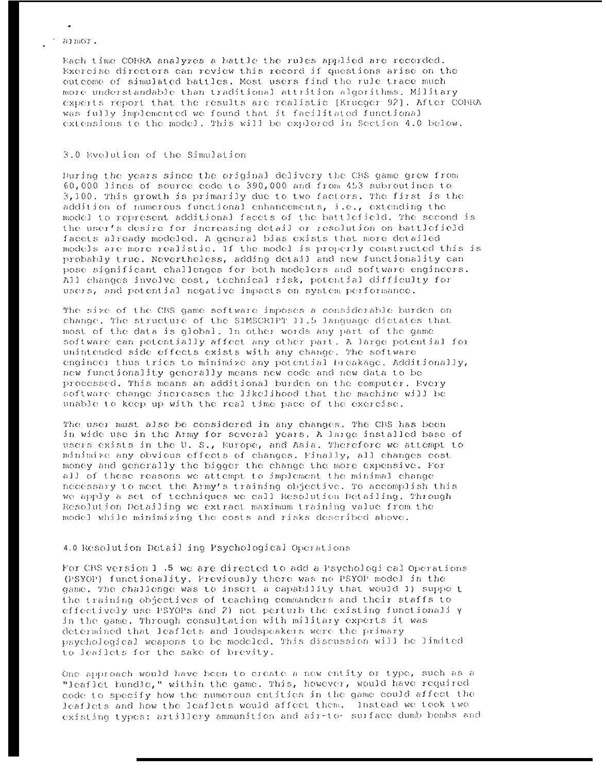#### aimor.

Hach time COBRA analyzes a battle the rules applied are recorded. Exercise directors can review this record if questions arise on the outcome of simulated battles. Most users find the rule trace much more understandable than traditional attrition algorithms. Military experts report that the results are realistic [Krueger 92]. After COBRA was fully implemented we found that it facilitated functional extensions to the model. This will be explored in Section 4.0 below.

# 3.0 Evolution of the Simulation

During the years since the original delivery the CBS game grew from 60,000 lines of source code to 390,000 and from 453 subroutines to 3,100. This growth is primarily due to two factors. The first is the addition of numerous functional enhancements, i.e., extending the model to represent additional facets of the battlefield. The second is the user's desire for increasing detail or resolution on battlefield facets already modeled. A general bias exists that more detailed models are more realistic. If the model is properly constructed this is probably true. Nevertheless, adding detail and new functionality can pose significant challenges for both modelers and software engineers. All changes involve cost, technical risk, potential difficulty for users, and potential negative impacts on system performance.

The size of the CBS game software imposes a considerable burden on change. The structure of the SIMSCRIPT 11.5 language dictates that most of the data is global. In other words any part of the game software can potentially affect any other part. A large potential for unintended side effects exists with any change. The software engineer thus tries to minimize any potential breakage. Additionally, new functionality generally means new code and new data to be processed. This means an additional burden on the computer. Every software change increases the likelihood that the machine will be unable to keep up with the real time pace of the exercise.

The user must also be considered in any changes. The CBS has been in wide use in the Army for several years. A large installed base of users exists in the U.S., Europe, and Asia. Therefore we attempt to minimize any obvious effects of changes. Finally, all changes cost money and generally the bigger the change the more expensive. For all of these reasons we attempt to implement the minimal change necessary to meet the Army's training objective. To accomplish this we apply a set of techniques we call Resolution Detailing. Through Resolution Detailing we extract maximum training value from the model while minimizing the costs and risks described above.

# 4.0 Resolution Detail ing Psychological Operations

For CBS version 1 .5 we are directed to add a Psychological Operations (PSYOP) functionality. Previously there was no PSYOP model in the game. The challenge was to insert a capability that would 1) suppo t the training objectives of teaching commanders and their staffs to effectively use PSYOPs and 2) not perturb the existing functionali y in the game. Through consultation with military experts it was determined that leaflets and loudspeakers were the primary psychological weapons to be modeled. This discussion will be limited to leaflets for the sake of brevity.

One approach would have been to create a new entity or type, such as a "leaflet bundle," within the game. This, however, would have required code to specify how the numerous entities in the game could affect the leaflets and how the leaflets would affect them. Instead we took two existing types: artillery ammunition and air-to- surface dumb bombs and